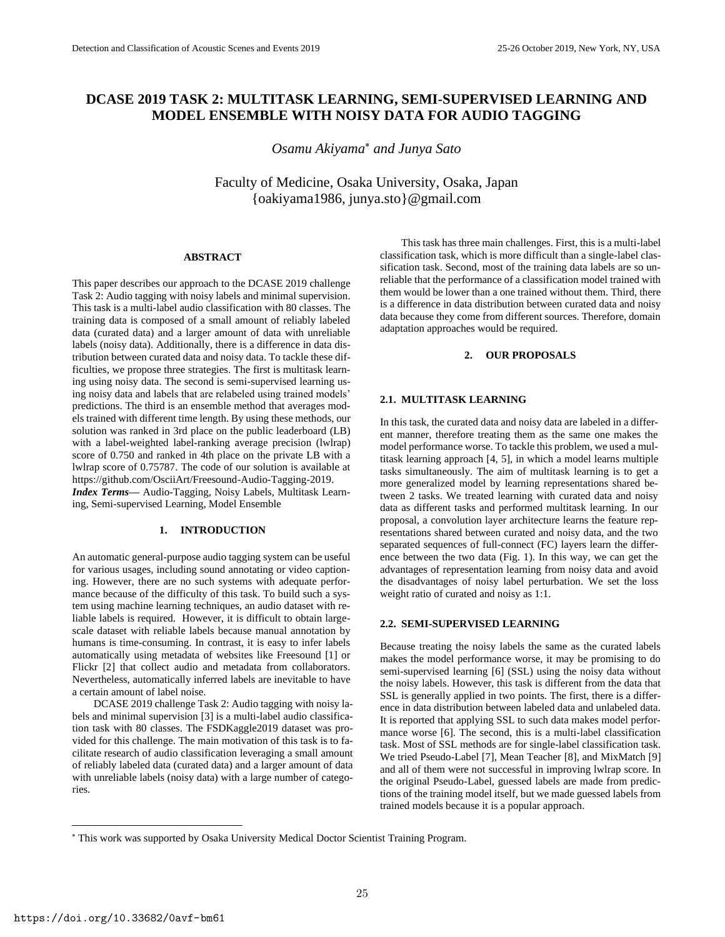# **DCASE 2019 TASK 2: MULTITASK LEARNING, SEMI-SUPERVISED LEARNING AND MODEL ENSEMBLE WITH NOISY DATA FOR AUDIO TAGGING**

*Osamu Akiyama and Junya Sato*

Faculty of Medicine, Osaka University, Osaka, Japan {oakiyama1986, junya.sto}@gmail.com

# **ABSTRACT**

This paper describes our approach to the DCASE 2019 challenge Task 2: Audio tagging with noisy labels and minimal supervision. This task is a multi-label audio classification with 80 classes. The training data is composed of a small amount of reliably labeled data (curated data) and a larger amount of data with unreliable labels (noisy data). Additionally, there is a difference in data distribution between curated data and noisy data. To tackle these difficulties, we propose three strategies. The first is multitask learning using noisy data. The second is semi-supervised learning using noisy data and labels that are relabeled using trained models' predictions. The third is an ensemble method that averages models trained with different time length. By using these methods, our solution was ranked in 3rd place on the public leaderboard (LB) with a label-weighted label-ranking average precision (lwlrap) score of 0.750 and ranked in 4th place on the private LB with a lwlrap score of 0.75787. The code of our solution is available at https://github.com/OsciiArt/Freesound-Audio-Tagging-2019. *Index Terms—* Audio-Tagging, Noisy Labels, Multitask Learning, Semi-supervised Learning, Model Ensemble

#### **1. INTRODUCTION**

An automatic general-purpose audio tagging system can be useful for various usages, including sound annotating or video captioning. However, there are no such systems with adequate performance because of the difficulty of this task. To build such a system using machine learning techniques, an audio dataset with reliable labels is required. However, it is difficult to obtain largescale dataset with reliable labels because manual annotation by humans is time-consuming. In contrast, it is easy to infer labels automatically using metadata of websites like Freesound [1] or Flickr [2] that collect audio and metadata from collaborators. Nevertheless, automatically inferred labels are inevitable to have a certain amount of label noise.

DCASE 2019 challenge Task 2: Audio tagging with noisy labels and minimal supervision [3] is a multi-label audio classification task with 80 classes. The FSDKaggle2019 dataset was provided for this challenge. The main motivation of this task is to facilitate research of audio classification leveraging a small amount of reliably labeled data (curated data) and a larger amount of data with unreliable labels (noisy data) with a large number of categories.

This task has three main challenges. First, this is a multi-label classification task, which is more difficult than a single-label classification task. Second, most of the training data labels are so unreliable that the performance of a classification model trained with them would be lower than a one trained without them. Third, there is a difference in data distribution between curated data and noisy data because they come from different sources. Therefore, domain adaptation approaches would be required.

# **2. OUR PROPOSALS**

#### **2.1. MULTITASK LEARNING**

In this task, the curated data and noisy data are labeled in a different manner, therefore treating them as the same one makes the model performance worse. To tackle this problem, we used a multitask learning approach [4, 5], in which a model learns multiple tasks simultaneously. The aim of multitask learning is to get a more generalized model by learning representations shared between 2 tasks. We treated learning with curated data and noisy data as different tasks and performed multitask learning. In our proposal, a convolution layer architecture learns the feature representations shared between curated and noisy data, and the two separated sequences of full-connect (FC) layers learn the difference between the two data (Fig. 1). In this way, we can get the advantages of representation learning from noisy data and avoid the disadvantages of noisy label perturbation. We set the loss weight ratio of curated and noisy as 1:1.

# **2.2. SEMI-SUPERVISED LEARNING**

Because treating the noisy labels the same as the curated labels makes the model performance worse, it may be promising to do semi-supervised learning [6] (SSL) using the noisy data without the noisy labels. However, this task is different from the data that SSL is generally applied in two points. The first, there is a difference in data distribution between labeled data and unlabeled data. It is reported that applying SSL to such data makes model performance worse [6]. The second, this is a multi-label classification task. Most of SSL methods are for single-label classification task. We tried Pseudo-Label [7], Mean Teacher [8], and MixMatch [9] and all of them were not successful in improving lwlrap score. In the original Pseudo-Label, guessed labels are made from predictions of the training model itself, but we made guessed labels from trained models because it is a popular approach.

This work was supported by Osaka University Medical Doctor Scientist Training Program.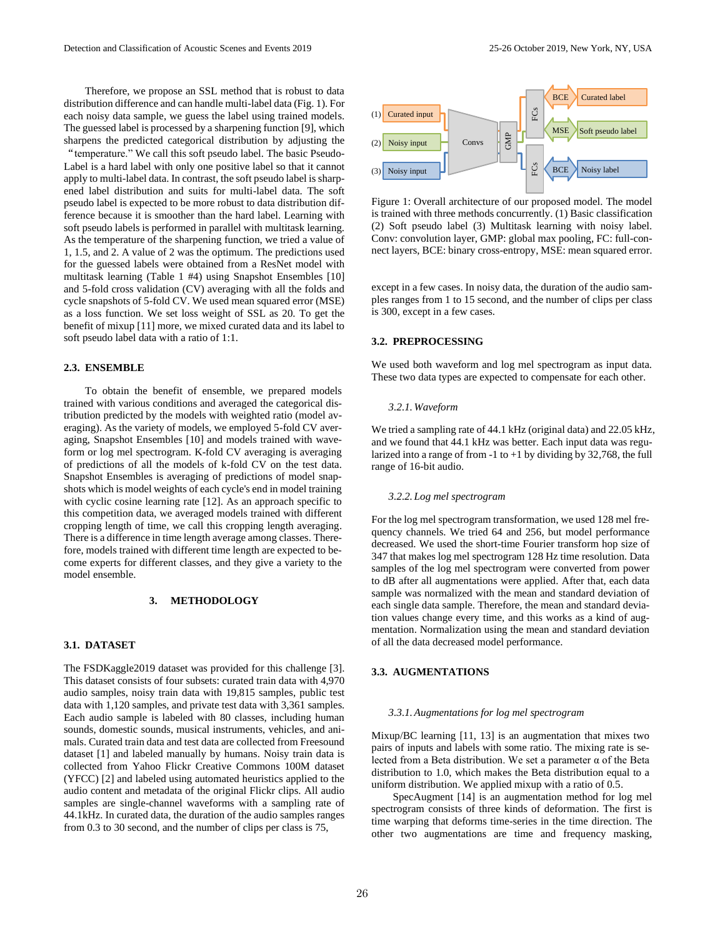Therefore, we propose an SSL method that is robust to data distribution difference and can handle multi-label data (Fig. 1). For each noisy data sample, we guess the label using trained models. The guessed label is processed by a sharpening function [9], which sharpens the predicted categorical distribution by adjusting the

"temperature." We call this soft pseudo label. The basic Pseudo-Label is a hard label with only one positive label so that it cannot apply to multi-label data. In contrast, the soft pseudo label is sharpened label distribution and suits for multi-label data. The soft pseudo label is expected to be more robust to data distribution difference because it is smoother than the hard label. Learning with soft pseudo labels is performed in parallel with multitask learning. As the temperature of the sharpening function, we tried a value of 1, 1.5, and 2. A value of 2 was the optimum. The predictions used for the guessed labels were obtained from a ResNet model with multitask learning (Table 1 #4) using Snapshot Ensembles [10] and 5-fold cross validation (CV) averaging with all the folds and cycle snapshots of 5-fold CV. We used mean squared error (MSE) as a loss function. We set loss weight of SSL as 20. To get the benefit of mixup [11] more, we mixed curated data and its label to soft pseudo label data with a ratio of 1:1.

#### **2.3. ENSEMBLE**

To obtain the benefit of ensemble, we prepared models trained with various conditions and averaged the categorical distribution predicted by the models with weighted ratio (model averaging). As the variety of models, we employed 5-fold CV averaging, Snapshot Ensembles [10] and models trained with waveform or log mel spectrogram. K-fold CV averaging is averaging of predictions of all the models of k-fold CV on the test data. Snapshot Ensembles is averaging of predictions of model snapshots which is model weights of each cycle's end in model training with cyclic cosine learning rate [12]. As an approach specific to this competition data, we averaged models trained with different cropping length of time, we call this cropping length averaging. There is a difference in time length average among classes. Therefore, models trained with different time length are expected to become experts for different classes, and they give a variety to the model ensemble.

### **3. METHODOLOGY**

### **3.1. DATASET**

The FSDKaggle2019 dataset was provided for this challenge [3]. This dataset consists of four subsets: curated train data with 4,970 audio samples, noisy train data with 19,815 samples, public test data with 1,120 samples, and private test data with 3,361 samples. Each audio sample is labeled with 80 classes, including human sounds, domestic sounds, musical instruments, vehicles, and animals. Curated train data and test data are collected from Freesound dataset [1] and labeled manually by humans. Noisy train data is collected from Yahoo Flickr Creative Commons 100M dataset (YFCC) [2] and labeled using automated heuristics applied to the audio content and metadata of the original Flickr clips. All audio samples are single-channel waveforms with a sampling rate of 44.1kHz. In curated data, the duration of the audio samples ranges from 0.3 to 30 second, and the number of clips per class is 75,



Figure 1: Overall architecture of our proposed model. The model is trained with three methods concurrently. (1) Basic classification (2) Soft pseudo label (3) Multitask learning with noisy label. Conv: convolution layer, GMP: global max pooling, FC: full-connect layers, BCE: binary cross-entropy, MSE: mean squared error.

except in a few cases. In noisy data, the duration of the audio samples ranges from 1 to 15 second, and the number of clips per class is 300, except in a few cases.

# **3.2. PREPROCESSING**

We used both waveform and log mel spectrogram as input data. These two data types are expected to compensate for each other.

#### *3.2.1. Waveform*

We tried a sampling rate of 44.1 kHz (original data) and 22.05 kHz, and we found that 44.1 kHz was better. Each input data was regularized into a range of from  $-1$  to  $+1$  by dividing by 32,768, the full range of 16-bit audio.

#### *3.2.2. Log mel spectrogram*

For the log mel spectrogram transformation, we used 128 mel frequency channels. We tried 64 and 256, but model performance decreased. We used the short-time Fourier transform hop size of 347 that makes log mel spectrogram 128 Hz time resolution. Data samples of the log mel spectrogram were converted from power to dB after all augmentations were applied. After that, each data sample was normalized with the mean and standard deviation of each single data sample. Therefore, the mean and standard deviation values change every time, and this works as a kind of augmentation. Normalization using the mean and standard deviation of all the data decreased model performance.

# **3.3. AUGMENTATIONS**

#### *3.3.1.Augmentations for log mel spectrogram*

Mixup/BC learning [11, 13] is an augmentation that mixes two pairs of inputs and labels with some ratio. The mixing rate is selected from a Beta distribution. We set a parameter α of the Beta distribution to 1.0, which makes the Beta distribution equal to a uniform distribution. We applied mixup with a ratio of 0.5.

SpecAugment [14] is an augmentation method for log mel spectrogram consists of three kinds of deformation. The first is time warping that deforms time-series in the time direction. The other two augmentations are time and frequency masking,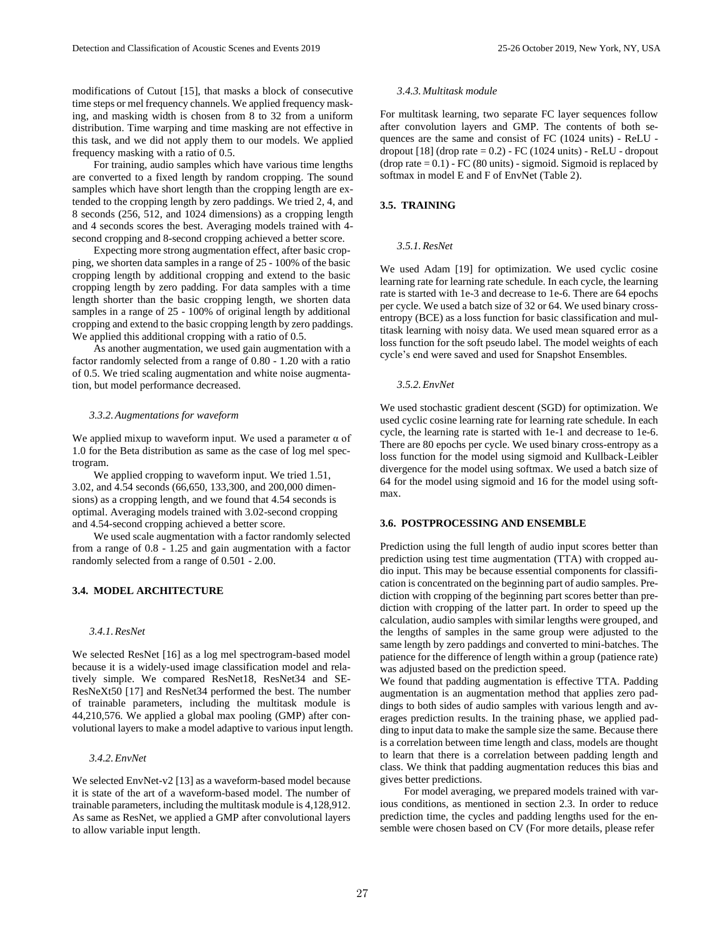modifications of Cutout [15], that masks a block of consecutive time steps or mel frequency channels. We applied frequency masking, and masking width is chosen from 8 to 32 from a uniform distribution. Time warping and time masking are not effective in this task, and we did not apply them to our models. We applied frequency masking with a ratio of 0.5.

For training, audio samples which have various time lengths are converted to a fixed length by random cropping. The sound samples which have short length than the cropping length are extended to the cropping length by zero paddings. We tried 2, 4, and 8 seconds (256, 512, and 1024 dimensions) as a cropping length and 4 seconds scores the best. Averaging models trained with 4 second cropping and 8-second cropping achieved a better score.

Expecting more strong augmentation effect, after basic cropping, we shorten data samples in a range of 25 - 100% of the basic cropping length by additional cropping and extend to the basic cropping length by zero padding. For data samples with a time length shorter than the basic cropping length, we shorten data samples in a range of 25 - 100% of original length by additional cropping and extend to the basic cropping length by zero paddings. We applied this additional cropping with a ratio of 0.5.

As another augmentation, we used gain augmentation with a factor randomly selected from a range of 0.80 - 1.20 with a ratio of 0.5. We tried scaling augmentation and white noise augmentation, but model performance decreased.

#### *3.3.2.Augmentations for waveform*

We applied mixup to waveform input. We used a parameter  $\alpha$  of 1.0 for the Beta distribution as same as the case of log mel spectrogram.

We applied cropping to waveform input. We tried 1.51, 3.02, and 4.54 seconds (66,650, 133,300, and 200,000 dimensions) as a cropping length, and we found that 4.54 seconds is optimal. Averaging models trained with 3.02-second cropping and 4.54-second cropping achieved a better score.

We used scale augmentation with a factor randomly selected from a range of 0.8 - 1.25 and gain augmentation with a factor randomly selected from a range of 0.501 - 2.00.

# **3.4. MODEL ARCHITECTURE**

# *3.4.1.ResNet*

We selected ResNet [16] as a log mel spectrogram-based model because it is a widely-used image classification model and relatively simple. We compared ResNet18, ResNet34 and SE-ResNeXt50 [17] and ResNet34 performed the best. The number of trainable parameters, including the multitask module is 44,210,576. We applied a global max pooling (GMP) after convolutional layers to make a model adaptive to various input length.

# *3.4.2.EnvNet*

We selected EnvNet-v2 [13] as a waveform-based model because it is state of the art of a waveform-based model. The number of trainable parameters, including the multitask module is 4,128,912. As same as ResNet, we applied a GMP after convolutional layers to allow variable input length.

# *3.4.3. Multitask module*

For multitask learning, two separate FC layer sequences follow after convolution layers and GMP. The contents of both sequences are the same and consist of FC (1024 units) - ReLU dropout  $[18]$  (drop rate  $= 0.2$ ) - FC (1024 units) - ReLU - dropout (drop rate  $= 0.1$ ) - FC (80 units) - sigmoid. Sigmoid is replaced by softmax in model E and F of EnvNet (Table 2).

### **3.5. TRAINING**

# *3.5.1.ResNet*

We used Adam [19] for optimization. We used cyclic cosine learning rate for learning rate schedule. In each cycle, the learning rate is started with 1e-3 and decrease to 1e-6. There are 64 epochs per cycle. We used a batch size of 32 or 64. We used binary crossentropy (BCE) as a loss function for basic classification and multitask learning with noisy data. We used mean squared error as a loss function for the soft pseudo label. The model weights of each cycle's end were saved and used for Snapshot Ensembles.

### *3.5.2.EnvNet*

We used stochastic gradient descent (SGD) for optimization. We used cyclic cosine learning rate for learning rate schedule. In each cycle, the learning rate is started with 1e-1 and decrease to 1e-6. There are 80 epochs per cycle. We used binary cross-entropy as a loss function for the model using sigmoid and Kullback-Leibler divergence for the model using softmax. We used a batch size of 64 for the model using sigmoid and 16 for the model using softmax.

### **3.6. POSTPROCESSING AND ENSEMBLE**

Prediction using the full length of audio input scores better than prediction using test time augmentation (TTA) with cropped audio input. This may be because essential components for classification is concentrated on the beginning part of audio samples. Prediction with cropping of the beginning part scores better than prediction with cropping of the latter part. In order to speed up the calculation, audio samples with similar lengths were grouped, and the lengths of samples in the same group were adjusted to the same length by zero paddings and converted to mini-batches. The patience for the difference of length within a group (patience rate) was adjusted based on the prediction speed.

We found that padding augmentation is effective TTA. Padding augmentation is an augmentation method that applies zero paddings to both sides of audio samples with various length and averages prediction results. In the training phase, we applied padding to input data to make the sample size the same. Because there is a correlation between time length and class, models are thought to learn that there is a correlation between padding length and class. We think that padding augmentation reduces this bias and gives better predictions.

For model averaging, we prepared models trained with various conditions, as mentioned in section 2.3. In order to reduce prediction time, the cycles and padding lengths used for the ensemble were chosen based on CV (For more details, please refer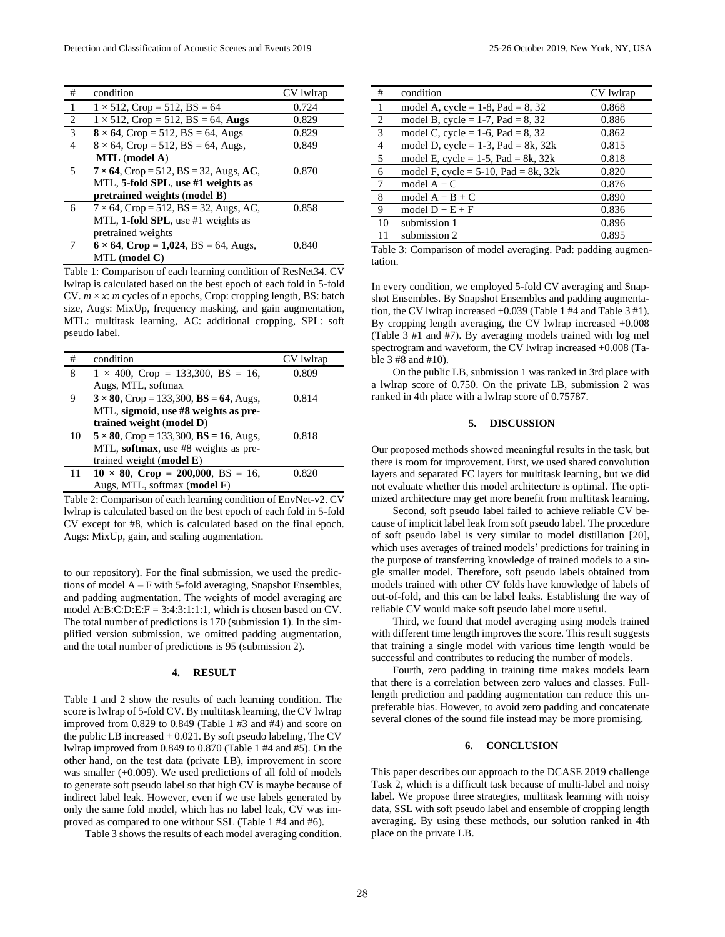| #              | condition                                      | CV lwlrap |
|----------------|------------------------------------------------|-----------|
| -1             | $1 \times 512$ , Crop = 512, BS = 64           | 0.724     |
| $\frac{2}{3}$  | $1 \times 512$ , Crop = 512, BS = 64, Augs     | 0.829     |
|                | $8 \times 64$ , Crop = 512, BS = 64, Augs      | 0.829     |
| $\overline{4}$ | $8 \times 64$ , Crop = 512, BS = 64, Augs,     | 0.849     |
|                | MTL (model A)                                  |           |
| 5              | $7 \times 64$ , Crop = 512, BS = 32, Augs, AC, | 0.870     |
|                | MTL, 5-fold SPL, use #1 weights as             |           |
|                | pretrained weights (model B)                   |           |
| 6              | $7 \times 64$ , Crop = 512, BS = 32, Augs, AC, | 0.858     |
|                | MTL, 1-fold SPL, use #1 weights as             |           |
|                | pretrained weights                             |           |
| 7              | $6 \times 64$ , Crop = 1,024, BS = 64, Augs,   | 0.840     |
|                | $MTL$ (model $C$ )                             |           |

Table 1: Comparison of each learning condition of ResNet34. CV lwlrap is calculated based on the best epoch of each fold in 5-fold CV.  $m \times x$ : *m* cycles of *n* epochs, Crop: cropping length, BS: batch size, Augs: MixUp, frequency masking, and gain augmentation, MTL: multitask learning, AC: additional cropping, SPL: soft pseudo label.

| #  | condition                                      | CV lwlrap |
|----|------------------------------------------------|-----------|
| 8  | $1 \times 400$ , Crop = 133,300, BS = 16,      | 0.809     |
|    | Augs, MTL, softmax                             |           |
| 9  | $3 \times 80$ , Crop = 133,300, BS = 64, Augs, | 0.814     |
|    | MTL, sigmoid, use #8 weights as pre-           |           |
|    | trained weight (model D)                       |           |
| 10 | $5 \times 80$ , Crop = 133,300, BS = 16, Augs, | 0.818     |
|    | MTL, softmax, use #8 weights as pre-           |           |
|    | trained weight $(mod E)$                       |           |
| 11 | $10 \times 80$ , Crop = 200,000, BS = 16,      | 0.820     |
|    | Augs, MTL, softmax (model F)                   |           |

Table 2: Comparison of each learning condition of EnvNet-v2. CV lwlrap is calculated based on the best epoch of each fold in 5-fold CV except for #8, which is calculated based on the final epoch. Augs: MixUp, gain, and scaling augmentation.

to our repository). For the final submission, we used the predictions of model A – F with 5-fold averaging, Snapshot Ensembles, and padding augmentation. The weights of model averaging are model A:B:C:D:E: $F = 3:4:3:1:1:1$ , which is chosen based on CV. The total number of predictions is 170 (submission 1). In the simplified version submission, we omitted padding augmentation, and the total number of predictions is 95 (submission 2).

# **4. RESULT**

Table 1 and 2 show the results of each learning condition. The score is lwlrap of 5-fold CV. By multitask learning, the CV lwlrap improved from 0.829 to 0.849 (Table 1 #3 and #4) and score on the public LB increased + 0.021. By soft pseudo labeling, The CV lwlrap improved from 0.849 to 0.870 (Table 1 #4 and #5). On the other hand, on the test data (private LB), improvement in score was smaller (+0.009). We used predictions of all fold of models to generate soft pseudo label so that high CV is maybe because of indirect label leak. However, even if we use labels generated by only the same fold model, which has no label leak, CV was improved as compared to one without SSL (Table 1 #4 and #6).

Table 3 shows the results of each model averaging condition.

| #              | condition                               | CV lwlrap |
|----------------|-----------------------------------------|-----------|
|                | model A, cycle = $1-8$ , Pad = 8, 32    | 0.868     |
| <sup>2</sup>   | model B, cycle = 1-7, Pad = 8, 32       | 0.886     |
| $\overline{3}$ | model C, cycle = $1-6$ , Pad = 8, 32    | 0.862     |
| $\frac{4}{5}$  | model D, cycle = $1-3$ , Pad = 8k, 32k  | 0.815     |
|                | model E, cycle = $1-5$ , Pad = 8k, 32k  | 0.818     |
| 6              | model F, cycle = $5-10$ , Pad = 8k, 32k | 0.820     |
| 7              | model $A + C$                           | 0.876     |
| 8              | model $A + B + C$                       | 0.890     |
| 9              | model $D + E + F$                       | 0.836     |
| 10             | submission 1                            | 0.896     |
|                | submission 2                            | 0.895     |

Table 3: Comparison of model averaging. Pad: padding augmentation.

In every condition, we employed 5-fold CV averaging and Snapshot Ensembles. By Snapshot Ensembles and padding augmentation, the CV lwlrap increased +0.039 (Table 1 #4 and Table 3 #1). By cropping length averaging, the CV lwlrap increased +0.008 (Table 3 #1 and #7). By averaging models trained with log mel spectrogram and waveform, the CV lwlrap increased +0.008 (Table 3 #8 and #10).

On the public LB, submission 1 was ranked in 3rd place with a lwlrap score of 0.750. On the private LB, submission 2 was ranked in 4th place with a lwlrap score of 0.75787.

# **5. DISCUSSION**

Our proposed methods showed meaningful results in the task, but there is room for improvement. First, we used shared convolution layers and separated FC layers for multitask learning, but we did not evaluate whether this model architecture is optimal. The optimized architecture may get more benefit from multitask learning.

Second, soft pseudo label failed to achieve reliable CV because of implicit label leak from soft pseudo label. The procedure of soft pseudo label is very similar to model distillation [20], which uses averages of trained models' predictions for training in the purpose of transferring knowledge of trained models to a single smaller model. Therefore, soft pseudo labels obtained from models trained with other CV folds have knowledge of labels of out-of-fold, and this can be label leaks. Establishing the way of reliable CV would make soft pseudo label more useful.

Third, we found that model averaging using models trained with different time length improves the score. This result suggests that training a single model with various time length would be successful and contributes to reducing the number of models.

Fourth, zero padding in training time makes models learn that there is a correlation between zero values and classes. Fulllength prediction and padding augmentation can reduce this unpreferable bias. However, to avoid zero padding and concatenate several clones of the sound file instead may be more promising.

### **6. CONCLUSION**

This paper describes our approach to the DCASE 2019 challenge Task 2, which is a difficult task because of multi-label and noisy label. We propose three strategies, multitask learning with noisy data, SSL with soft pseudo label and ensemble of cropping length averaging. By using these methods, our solution ranked in 4th place on the private LB.